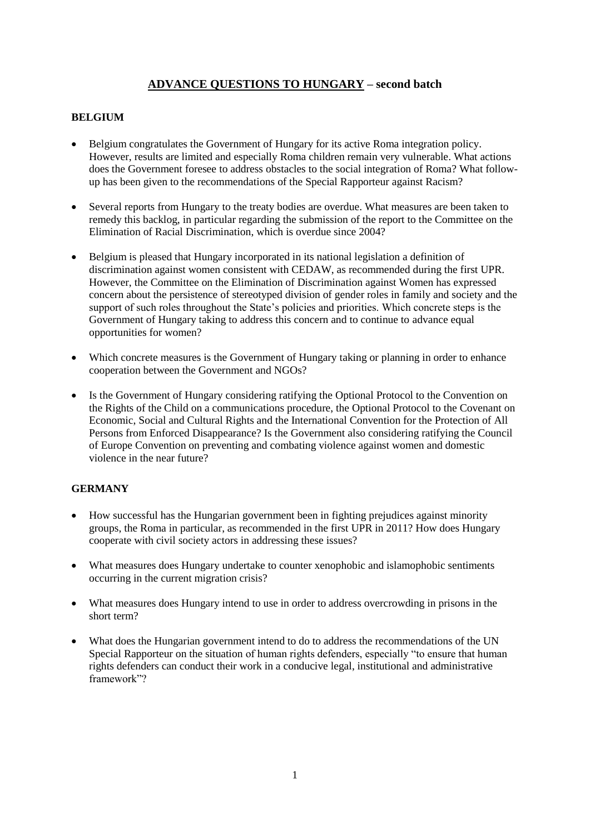# **ADVANCE QUESTIONS TO HUNGARY – second batch**

## **BELGIUM**

- Belgium congratulates the Government of Hungary for its active Roma integration policy. However, results are limited and especially Roma children remain very vulnerable. What actions does the Government foresee to address obstacles to the social integration of Roma? What followup has been given to the recommendations of the Special Rapporteur against Racism?
- Several reports from Hungary to the treaty bodies are overdue. What measures are been taken to remedy this backlog, in particular regarding the submission of the report to the Committee on the Elimination of Racial Discrimination, which is overdue since 2004?
- Belgium is pleased that Hungary incorporated in its national legislation a definition of discrimination against women consistent with CEDAW, as recommended during the first UPR. However, the Committee on the Elimination of Discrimination against Women has expressed concern about the persistence of stereotyped division of gender roles in family and society and the support of such roles throughout the State's policies and priorities. Which concrete steps is the Government of Hungary taking to address this concern and to continue to advance equal opportunities for women?
- Which concrete measures is the Government of Hungary taking or planning in order to enhance cooperation between the Government and NGOs?
- Is the Government of Hungary considering ratifying the Optional Protocol to the Convention on the Rights of the Child on a communications procedure, the Optional Protocol to the Covenant on Economic, Social and Cultural Rights and the International Convention for the Protection of All Persons from Enforced Disappearance? Is the Government also considering ratifying the Council of Europe Convention on preventing and combating violence against women and domestic violence in the near future?

## **GERMANY**

- How successful has the Hungarian government been in fighting prejudices against minority groups, the Roma in particular, as recommended in the first UPR in 2011? How does Hungary cooperate with civil society actors in addressing these issues?
- What measures does Hungary undertake to counter xenophobic and islamophobic sentiments occurring in the current migration crisis?
- What measures does Hungary intend to use in order to address overcrowding in prisons in the short term?
- What does the Hungarian government intend to do to address the recommendations of the UN Special Rapporteur on the situation of human rights defenders, especially "to ensure that human rights defenders can conduct their work in a conducive legal, institutional and administrative framework"?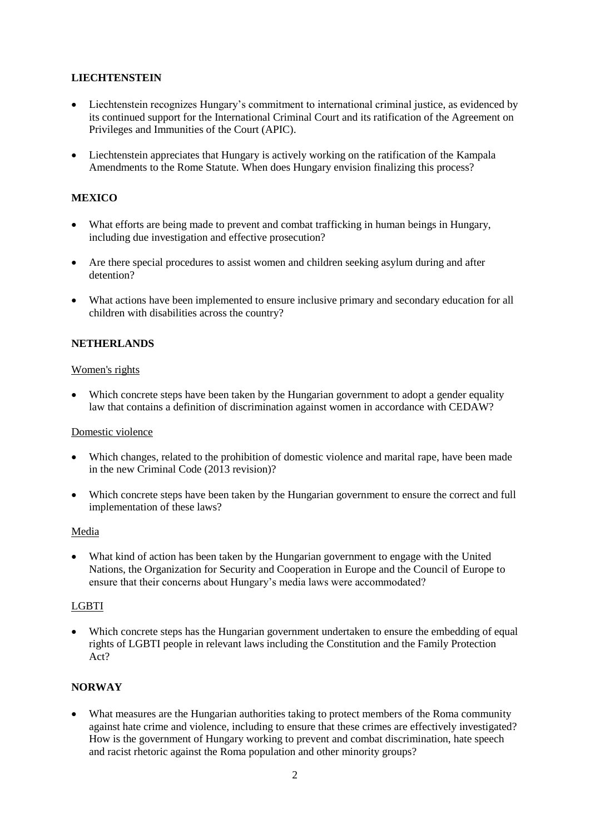## **LIECHTENSTEIN**

- Liechtenstein recognizes Hungary's commitment to international criminal justice, as evidenced by its continued support for the International Criminal Court and its ratification of the Agreement on Privileges and Immunities of the Court (APIC).
- Liechtenstein appreciates that Hungary is actively working on the ratification of the Kampala Amendments to the Rome Statute. When does Hungary envision finalizing this process?

### **MEXICO**

- What efforts are being made to prevent and combat trafficking in human beings in Hungary, including due investigation and effective prosecution?
- Are there special procedures to assist women and children seeking asylum during and after detention?
- What actions have been implemented to ensure inclusive primary and secondary education for all children with disabilities across the country?

#### **NETHERLANDS**

#### Women's rights

 Which concrete steps have been taken by the Hungarian government to adopt a gender equality law that contains a definition of discrimination against women in accordance with CEDAW?

#### Domestic violence

- Which changes, related to the prohibition of domestic violence and marital rape, have been made in the new Criminal Code (2013 revision)?
- Which concrete steps have been taken by the Hungarian government to ensure the correct and full implementation of these laws?

#### Media

 What kind of action has been taken by the Hungarian government to engage with the United Nations, the Organization for Security and Cooperation in Europe and the Council of Europe to ensure that their concerns about Hungary's media laws were accommodated?

#### LGBTI

 Which concrete steps has the Hungarian government undertaken to ensure the embedding of equal rights of LGBTI people in relevant laws including the Constitution and the Family Protection Act?

#### **NORWAY**

 What measures are the Hungarian authorities taking to protect members of the Roma community against hate crime and violence, including to ensure that these crimes are effectively investigated? How is the government of Hungary working to prevent and combat discrimination, hate speech and racist rhetoric against the Roma population and other minority groups?